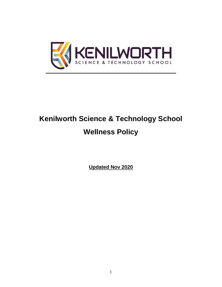

# **Kenilworth Science & Technology School Wellness Policy**

**Updated Nov 2020**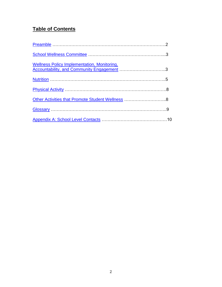# **Table of Contents**

| <b>Wellness Policy Implementation, Monitoring,</b><br>veriness Policy implementation, Monitoring,<br>Accountability, and Community Engagement 3 |  |
|-------------------------------------------------------------------------------------------------------------------------------------------------|--|
|                                                                                                                                                 |  |
|                                                                                                                                                 |  |
| Other Activities that Promote Student Wellness 8                                                                                                |  |
|                                                                                                                                                 |  |
|                                                                                                                                                 |  |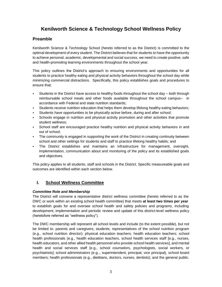# **Kenilworth Science & Technology School Wellness Policy**

# <span id="page-2-0"></span>**Preamble**

Kenilworth Science & Technology School (hereto referred to as the District) is committed to the optimal development of every student. The District believes that for students to have the opportunity to achieve personal, academic, developmental and social success, we need to create positive, safe and health-promoting learning environments throughout the school year.

This policy outlines the District's approach to ensuring environments and opportunities for all students to practice healthy eating and physical activity behaviors throughout the school day while minimizing commercial distractions. Specifically, this policy establishes goals and procedures to ensure that:

- If Students in the District have access to healthy foods throughout the school day both through reimbursable school meals and other foods available throughout the school campus- in accordance with Federal and state nutrition standards;
- Students receive nutrition education that helps them develop lifelong healthy eating behaviors;
- Students have opportunities to be physically active before, during and after school;
- Schools engage in nutrition and physical activity promotion and other activities that promote student wellness;
- School staff are encouraged practice healthy nutrition and physical activity behaviors in and out of school;
- The community is engaged in supporting the work of the District in creating continuity between school and other settings for students and staff to practice lifelong healthy habits; and
- The District establishes and maintains an infrastructure for management, oversight, implementation, communication about and monitoring of the policy and its established goals and objectives.

This policy applies to all students, staff and schools in the District. Specific measureable goals and outcomes are identified within each section below.

# <span id="page-2-1"></span>**I. School Wellness Committee**

#### *Committee Role and Membership*

The District will convene a representative district wellness committee (hereto referred to as the DWC or work within an existing school health committee) that meets **at least two times per year** to establish goals for and oversee school health and safety policies and programs, including development, implementation and periodic review and update of this district-level wellness policy (heretofore referred as "wellness policy").

The DWC membership will represent all school levels and include (to the extent possible), but not be limited to: parents and caregivers; students; representatives of the school nutrition program (e.g., school nutrition director); physical education teachers; health education teachers; school health professionals (e.g., health education teachers, school health services staff [e.g., nurses, health educators, and other allied health personnel who provide school health services], and mental health and social services staff [e.g., school counselors, psychologists, social workers, or psychiatrists]; school administrators (e.g.., superintendent, principal, vice principal), school board members; health professionals (e.g., dietitians, doctors, nurses, dentists); and the general public.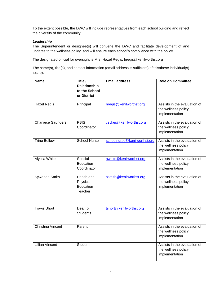To the extent possible, the DWC will include representatives from each school building and reflect the diversity of the community.

#### *Leadership*

The Superintendent or designee(s) will convene the DWC and facilitate development of and updates to the wellness policy, and will ensure each school's compliance with the policy.

The designated official for oversight is Mrs. Hazel Regis, hregis@kenilworthst.org

The name(s), title(s), and contact information (email address is sufficient) of this/these individual(s) is(are):

| <b>Name</b>              | Title /<br>Relationship<br>to the School<br>or District | <b>Email address</b>         | <b>Role on Committee</b>                                              |
|--------------------------|---------------------------------------------------------|------------------------------|-----------------------------------------------------------------------|
| <b>Hazel Regis</b>       | Principal                                               | hregis@kenilworthst.org      | Assists in the evaluation of<br>the wellness policy<br>implementation |
| <b>Chaniece Saunders</b> | <b>PBIS</b><br>Coordinator                              | csykes@kenilworthst.org      | Assists in the evaluation of<br>the wellness policy<br>implementation |
| <b>Trine Bellew</b>      | <b>School Nurse</b>                                     | schoolnurse@kenilworthst.org | Assists in the evaluation of<br>the wellness policy<br>implementation |
| Alyssa White             | Special<br>Education<br>Coordinator                     | awhite@kenilworthst.org      | Assists in the evaluation of<br>the wellness policy<br>implementation |
| Sywanda Smith            | Health and<br>Physical<br>Education<br>Teacher          | ssmith@kenilworthst.org      | Assists in the evaluation of<br>the wellness policy<br>implementation |
| <b>Travis Short</b>      | Dean of<br><b>Students</b>                              | tshort@kenilworthst.org      | Assists in the evaluation of<br>the wellness policy<br>implementation |
| <b>Christina Vincent</b> | Parent                                                  |                              | Assists in the evaluation of<br>the wellness policy<br>implementation |
| <b>Lillian Vincent</b>   | Student                                                 |                              | Assists in the evaluation of<br>the wellness policy<br>implementation |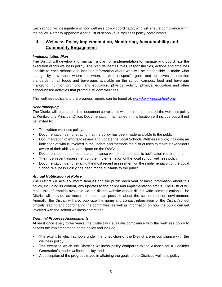Each school will designate a school wellness policy coordinator, who will ensure compliance with the policy. Refer to Appendix A for a list of school-level wellness policy coordinators.

# <span id="page-4-0"></span>**II. Wellness Policy Implementation, Monitoring, Accountability and Community Engagement**

#### *Implementation Plan*

The District will develop and maintain a plan for implementation to manage and coordinate the execution of this wellness policy. The plan delineates roles, responsibilities, actions and timelines specific to each school; and includes information about who will be responsible to make what change, by how much, where and when; as well as specific goals and objectives for nutrition standards for all foods and beverages available on the school campus, food and beverage marketing, nutrition promotion and education, physical activity, physical education and other school-based activities that promote student wellness.

This wellness policy and the progress reports can be found at: *[www.kenilworthschool.org](file:///C:/Users/admin/Downloads/www.kenilworthschool.org)*

#### *Recordkeeping*

The District will retain records to document compliance with the requirements of the wellness policy at Kenilworth's Principal Office. Documentation maintained in this location will include but will not be limited to:

- **The written wellness policy;**
- Documentation demonstrating that the policy has been made available to the public;
- Documentation of efforts to review and update the Local Schools Wellness Policy; including an indication of who is involved in the update and methods the district uses to make stakeholders aware of their ability to participate on the DWC;
- Documentation to demonstrate compliance with the annual public notification requirements;
- The most recent assessment on the implementation of the local school wellness policy;
- Documentation demonstrating the most recent assessment on the implementation of the Local School Wellness Policy has been made available to the public.

#### *Annual Notification of Policy*

The District will actively inform families and the public each year of basic information about this policy, including its content, any updates to the policy and implementation status. The District will make this information available via the district website and/or district-wide communications. The District will provide as much information as possible about the school nutrition environment. Annually, the District will also publicize the name and contact information of the District/school officials leading and coordinating the committee, as well as information on how the public can get involved with the school wellness committee.

#### *Triennial Progress Assessments*

At least once every three years, the District will evaluate compliance with the wellness policy to assess the implementation of the policy and include:

- The extent to which schools under the jurisdiction of the District are in compliance with the wellness policy;
- The extent to which the District's wellness policy compares to the Alliance for a Healthier Generation's model wellness policy; and
- A description of the progress made in attaining the goals of the District's wellness policy.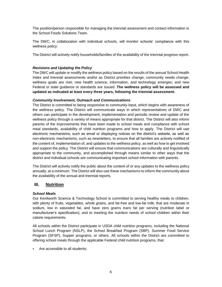The position/person responsible for managing the triennial assessment and contact information is the School Foods Solutions Team.

The DWC, in collaboration with individual schools, will monitor schools' compliance with this wellness policy.

The District will actively notify households/families of the availability of the triennial progress report.

#### *Revisions and Updating the Policy*

The DWC will update or modify the wellness policy based on the results of the annual School Health Index and triennial assessments and/or as District priorities change; community needs change; wellness goals are met; new health science, information, and technology emerges; and new Federal or state guidance or standards are issued. **The wellness policy will be assessed and updated as indicated at least every three years, following the triennial assessment.**

#### *Community Involvement, Outreach and Communications*

The District is committed to being responsive to community input, which begins with awareness of the wellness policy. The District will communicate ways in which representatives of DWC and others can participate in the development, implementation and periodic review and update of the wellness policy through a variety of means appropriate for that district. The District will also inform parents of the improvements that have been made to school meals and compliance with school meal standards, availability of child nutrition programs and how to apply. The District will use electronic mechanisms, such as email or displaying notices on the district's website, as well as non-electronic mechanisms, such as newsletters, to ensure that all families are actively notified of the content of, implementation of, and updates to the wellness policy, as well as how to get involved and support the policy. The District will ensure that communications are culturally and linguistically appropriate to the community, and accomplished through means similar to other ways that the district and individual schools are communicating important school information with parents.

The District will actively notify the public about the content of or any updates to the wellness policy annually, at a minimum. The District will also use these mechanisms to inform the community about the availability of the annual and triennial reports.

# <span id="page-5-0"></span>**III. Nutrition**

#### *School Meals*

Our Kenilworth Science & Technology School is committed to serving healthy meals to children, with plenty of fruits, vegetables, whole grains, and fat-free and low-fat milk; that are moderate in sodium, low in saturated fat, and have zero grams *trans* fat per serving (nutrition label or manufacturer's specification); and to meeting the nutrition needs of school children within their calorie requirements.

All schools within the District participate in USDA child nutrition programs, including the National School Lunch Program (NSLP), the School Breakfast Program (SBP), Summer Food Service Program (SFSP), Supper programs, or others. All schools within the District are committed to offering school meals through the applicable Federal child nutrition programs, that:

Are accessible to all students;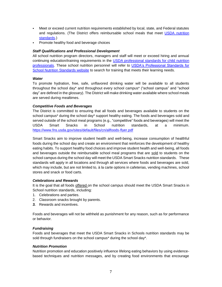- Meet or exceed current nutrition requirements established by local, state, and Federal statutes and regulations. (The District offers reimbursable school meals that meet [USDA nutrition](http://www.fns.usda.gov/school-meals/nutrition-standards-school-meals) [standards.](http://www.fns.usda.gov/school-meals/nutrition-standards-school-meals))
- Promote healthy food and beverage choices

#### *Staff Qualifications and Professional Development*

All school nutrition program directors, managers and staff will meet or exceed hiring and annual continuing education/training requirements in the [USDA professional standards for child nutrition](http://www.fns.usda.gov/sites/default/files/CN2014-0130.pdf)  [professionals.](http://www.fns.usda.gov/sites/default/files/CN2014-0130.pdf) These school nutrition personnel will refer to USDA's Professional Standards for [School Nutrition Standards website](http://professionalstandards.nal.usda.gov/) to search for training that meets their learning needs.

#### *Water*

To promote hydration, free, safe, unflavored drinking water will be available to all students throughout the school day\* and throughout every school campus\* ("school campus" and "school day" are defined in the glossary). The District will make drinking water available where school meals are served during mealtimes.

#### *Competitive Foods and Beverages*

The District is committed to ensuring that all foods and beverages available to students on the school campus<sup>\*</sup> during the school day<sup>\*</sup> support healthy eating. The foods and beverages sold and served outside of the school meal programs (e.g., "competitive" foods and beverages) will meet the USDA Smart Snacks in School nutrition standards, at a minimum. <https://www.fns.usda.gov/sites/default/files/cn/allfoods-flyer.pdf>

Smart Snacks aim to improve student health and well-being, increase consumption of healthful foods during the school day and create an environment that reinforces the development of healthy eating habits. To support healthy food choices and improve student health and well-being, all foods and beverages outside the reimbursable school meal programs that are sold to students on the school campus during the school day will meet the USDA Smart Snacks nutrition standards. These standards will apply in all locations and through all services where foods and beverages are sold, which may include, but are not limited to, à la carte options in cafeterias, vending machines, school stores and snack or food carts.

#### *Celebrations and Rewards*

It is the goal that all foods offered on the school campus should meet the USDA Smart Snacks in School nutrition standards, including:

- 1. Celebrations and parties.
- 2. Classroom snacks brought by parents.
- *3.* Rewards and incentives.

Foods and beverages will not be withheld as punishment for any reason, such as for performance or behavior.

#### *Fundraising*

Foods and beverages that meet the USDA Smart Snacks in Schools nutrition standards may be sold through fundraisers on the school campus\* during the school day\*.

#### *Nutrition Promotion*

Nutrition promotion and education positively influence lifelong eating behaviors by using evidencebased techniques and nutrition messages, and by creating food environments that encourage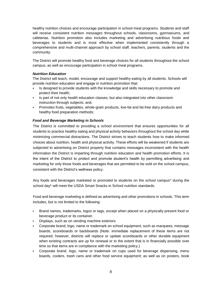healthy nutrition choices and encourage participation in school meal programs. Students and staff will receive consistent nutrition messages throughout schools, classrooms, gymnasiums, and cafeterias. Nutrition promotion also includes marketing and advertising nutritious foods and beverages to students and is most effective when implemented consistently through a comprehensive and multi-channel approach by school staff, teachers, parents, students and the community.

The District will promote healthy food and beverage choices for all students throughout the school campus, as well as encourage participation in school meal programs.

#### *Nutrition Education*

The District will teach, model, encourage and support healthy eating by all students. Schools will provide nutrition education and engage in nutrition promotion that:

- Is designed to provide students with the knowledge and skills necessary to promote and protect their health;
- Is part of not only health education classes, but also integrated into other classroom instruction through subjects; and,
- Promotes fruits, vegetables, whole-grain products, low-fat and fat-free dairy products and healthy food preparation methods;

#### *Food and Beverage Marketing in Schools*

The District is committed to providing a school environment that ensures opportunities for all students to practice healthy eating and physical activity behaviors throughout the school day while minimizing commercial distractions. The District strives to teach students how to make informed choices about nutrition, health and physical activity. These efforts will be weakened if students are subjected to advertising on District property that contains messages inconsistent with the health information the District is imparting through nutrition education and health promotion efforts. It is the intent of the District to protect and promote student's health by permitting advertising and marketing for only those foods and beverages that are permitted to be sold on the school campus, consistent with the District's wellness policy.

Any foods and beverages marketed or promoted to students on the school campus\* during the school day\* will meet the USDA Smart Snacks in School nutrition standards.

Food and beverage marketing is defined as advertising and other promotions in schools. This term includes, but is not limited to the following:

- Brand names, trademarks, logos or tags, except when placed on a physically present food or beverage product or its container.
- Displays, such as on vending machine exteriors
- Corporate brand, logo, name or trademark on school equipment, such as marquees, message boards, scoreboards or backboards (Note: immediate replacement of these items are not required; however, districts will replace or update scoreboards or other durable equipment when existing contracts are up for renewal or to the extent that is in financially possible over time so that items are in compliance with the marketing policy.)
- Corporate brand, logo, name or trademark on cups used for beverage dispensing, menu boards, coolers, trash cans and other food service equipment; as well as on posters, book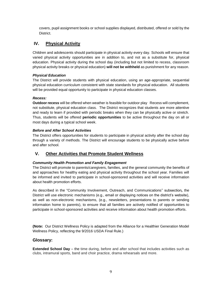covers, pupil assignment books or school supplies displayed, distributed, offered or sold by the District.

# <span id="page-8-0"></span>**IV. Physical Activity**

Children and adolescents should participate in physical activity every day. Schools will ensure that varied physical activity opportunities are in addition to, and not as a substitute for, physical education. Physical activity during the school day (including but not limited to recess, classroom physical activity breaks or physical education) **will not be withheld** as punishment for any reason.

#### *Physical Education*

The District will provide students with physical education, using an age-appropriate, sequential physical education curriculum consistent with state standards for physical education. All students will be provided equal opportunity to participate in physical education classes.

#### *Recess:*

**Outdoor recess** will be offered when weather is feasible for outdoor play Recess will complement, not substitute, physical education class. The District recognizes that students are more attentive and ready to learn if provided with periodic breaks when they can be physically active or stretch. Thus, students will be offered **periodic opportunities** to be active throughout the day on all or most days during a typical school week.

#### *Before and After School Activities*

The District offers opportunities for students to participate in physical activity after the school day through a variety of methods. The District will encourage students to be physically active before and after school.

# <span id="page-8-1"></span>**V. Other Activities that Promote Student Wellness**

#### *Community Health Promotion and Family Engagement*

The District will promote to parents/caregivers, families, and the general community the benefits of and approaches for healthy eating and physical activity throughout the school year. Families will be informed and invited to participate in school-sponsored activities and will receive information about health promotion efforts.

As described in the "Community Involvement, Outreach, and Communications" subsection*,* the District will use electronic mechanisms (e.g., email or displaying notices on the district's website), as well as non-electronic mechanisms, (e.g., newsletters, presentations to parents or sending information home to parents), to ensure that all families are actively notified of opportunities to participate in school-sponsored activities and receive information about health promotion efforts.

**(Note:** Our District Wellness Policy is adapted from the Alliance for a Healthier Generation Model Wellness Policy, reflecting the 9/2016 USDA Final Rule.)

#### <span id="page-8-2"></span>**Glossary:**

**Extended School Day** – the time during, before and after school that includes activities such as clubs, intramural sports, band and choir practice, drama rehearsals and more.